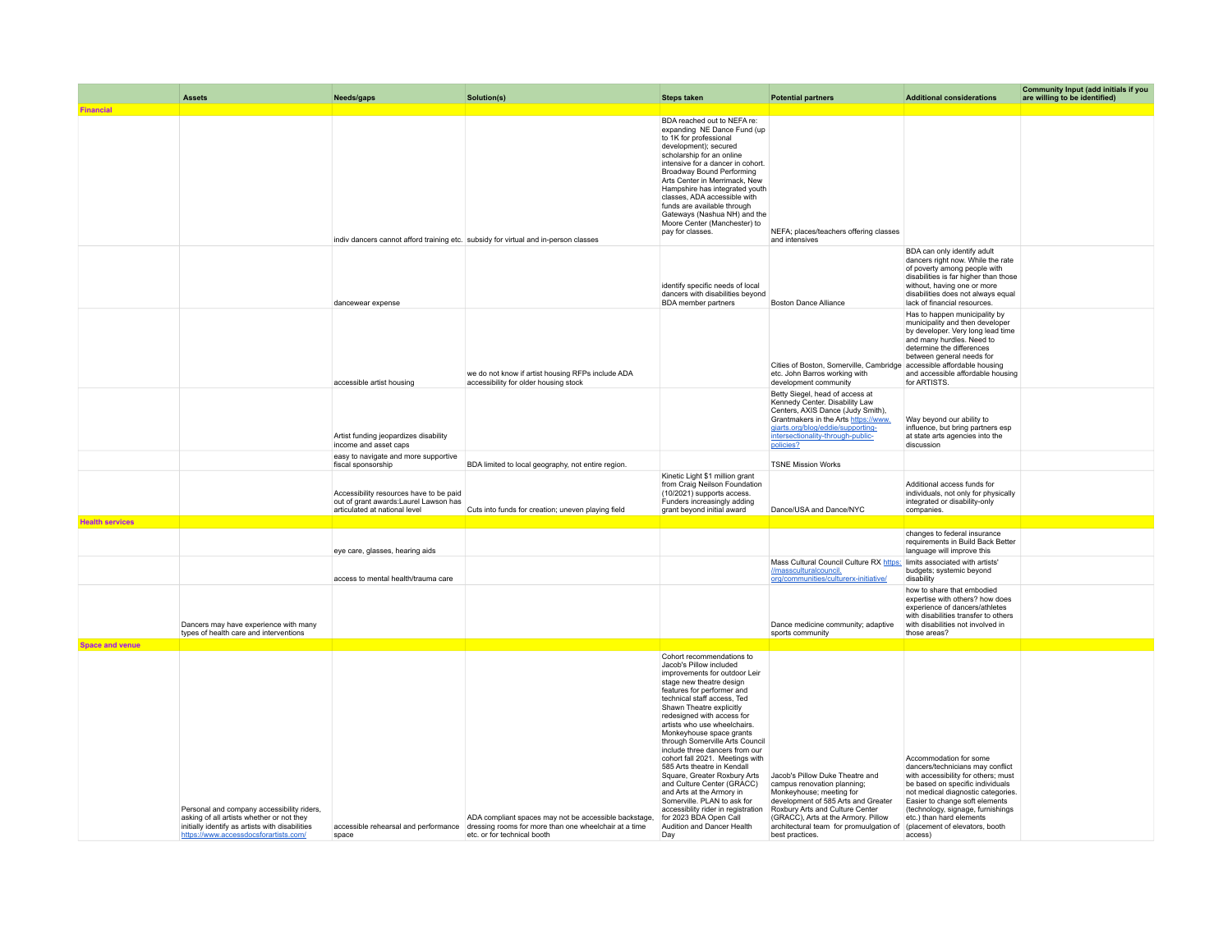| <b>Financial</b>       | <b>Assets</b>                                                                                                                                                                       | Needs/gaps                                                                                                         | Solution(s)                                                                                                                                                                        | <b>Steps taken</b>                                                                                                                                                                                                                                                                                                                                                                                                                                                                                                                                                                                                                                                         | <b>Potential partners</b>                                                                                                                                                                                                                                                                                | <b>Additional considerations</b>                                                                                                                                                                                                                                                          | Community Input (add initials if you<br>are willing to be identified) |
|------------------------|-------------------------------------------------------------------------------------------------------------------------------------------------------------------------------------|--------------------------------------------------------------------------------------------------------------------|------------------------------------------------------------------------------------------------------------------------------------------------------------------------------------|----------------------------------------------------------------------------------------------------------------------------------------------------------------------------------------------------------------------------------------------------------------------------------------------------------------------------------------------------------------------------------------------------------------------------------------------------------------------------------------------------------------------------------------------------------------------------------------------------------------------------------------------------------------------------|----------------------------------------------------------------------------------------------------------------------------------------------------------------------------------------------------------------------------------------------------------------------------------------------------------|-------------------------------------------------------------------------------------------------------------------------------------------------------------------------------------------------------------------------------------------------------------------------------------------|-----------------------------------------------------------------------|
|                        |                                                                                                                                                                                     |                                                                                                                    | indiv dancers cannot afford training etc. subsidy for virtual and in-person classes                                                                                                | BDA reached out to NEFA re:<br>expanding NE Dance Fund (up<br>to 1K for professional<br>development); secured<br>scholarship for an online<br>intensive for a dancer in cohort.<br>Broadway Bound Performing<br>Arts Center in Merrimack, New<br>Hampshire has integrated youth<br>classes, ADA accessible with<br>funds are available through<br>Gateways (Nashua NH) and the<br>Moore Center (Manchester) to<br>pay for classes.                                                                                                                                                                                                                                         | NEFA; places/teachers offering classes<br>and intensives                                                                                                                                                                                                                                                 |                                                                                                                                                                                                                                                                                           |                                                                       |
|                        |                                                                                                                                                                                     | dancewear expense                                                                                                  |                                                                                                                                                                                    | identify specific needs of local<br>dancers with disabilities beyond<br>BDA member partners                                                                                                                                                                                                                                                                                                                                                                                                                                                                                                                                                                                | <b>Boston Dance Alliance</b>                                                                                                                                                                                                                                                                             | BDA can only identify adult<br>dancers right now. While the rate<br>of poverty among people with<br>disabilities is far higher than those<br>without, having one or more<br>disabilities does not always equal<br>lack of financial resources.                                            |                                                                       |
|                        |                                                                                                                                                                                     | accessible artist housing                                                                                          | we do not know if artist housing RFPs include ADA<br>accessibility for older housing stock                                                                                         |                                                                                                                                                                                                                                                                                                                                                                                                                                                                                                                                                                                                                                                                            | Cities of Boston, Somerville, Cambridge accessible affordable housing<br>etc. John Barros working with<br>development community                                                                                                                                                                          | Has to happen municipality by<br>municipality and then developer<br>by developer. Very long lead time<br>and many hurdles. Need to<br>determine the differences<br>between general needs for<br>and accessible affordable housing<br>for ARTISTS.                                         |                                                                       |
|                        |                                                                                                                                                                                     | Artist funding jeopardizes disability<br>income and asset caps                                                     |                                                                                                                                                                                    |                                                                                                                                                                                                                                                                                                                                                                                                                                                                                                                                                                                                                                                                            | Betty Siegel, head of access at<br>Kennedy Center. Disability Law<br>Centers, AXIS Dance (Judy Smith),<br>Grantmakers in the Arts https://www.<br>giarts.org/blog/eddie/supporting-<br>intersectionality-through-public-<br>policies?                                                                    | Way beyond our ability to<br>influence, but bring partners esp<br>at state arts agencies into the<br>discussion                                                                                                                                                                           |                                                                       |
|                        |                                                                                                                                                                                     | easy to navigate and more supportive<br>fiscal sponsorship                                                         | BDA limited to local geography, not entire region.                                                                                                                                 |                                                                                                                                                                                                                                                                                                                                                                                                                                                                                                                                                                                                                                                                            | <b>TSNE Mission Works</b>                                                                                                                                                                                                                                                                                |                                                                                                                                                                                                                                                                                           |                                                                       |
|                        |                                                                                                                                                                                     | Accessibility resources have to be paid<br>out of grant awards: Laurel Lawson has<br>articulated at national level | Cuts into funds for creation; uneven playing field                                                                                                                                 | Kinetic Light \$1 million grant<br>from Craig Neilson Foundation<br>(10/2021) supports access.<br>Funders increasingly adding<br>grant beyond initial award                                                                                                                                                                                                                                                                                                                                                                                                                                                                                                                | Dance/USA and Dance/NYC                                                                                                                                                                                                                                                                                  | Additional access funds for<br>individuals, not only for physically<br>integrated or disability-only<br>companies.                                                                                                                                                                        |                                                                       |
| <b>Health services</b> |                                                                                                                                                                                     |                                                                                                                    |                                                                                                                                                                                    |                                                                                                                                                                                                                                                                                                                                                                                                                                                                                                                                                                                                                                                                            |                                                                                                                                                                                                                                                                                                          |                                                                                                                                                                                                                                                                                           |                                                                       |
|                        |                                                                                                                                                                                     | eye care, glasses, hearing aids                                                                                    |                                                                                                                                                                                    |                                                                                                                                                                                                                                                                                                                                                                                                                                                                                                                                                                                                                                                                            |                                                                                                                                                                                                                                                                                                          | changes to federal insurance<br>requirements in Build Back Better<br>language will improve this                                                                                                                                                                                           |                                                                       |
|                        |                                                                                                                                                                                     | access to mental health/trauma care                                                                                |                                                                                                                                                                                    |                                                                                                                                                                                                                                                                                                                                                                                                                                                                                                                                                                                                                                                                            | Mass Cultural Council Culture RX https:<br>//massculturalcouncil.<br>org/communities/culturerx-initiative/                                                                                                                                                                                               | limits associated with artists'<br>budgets; systemic beyond<br>disability                                                                                                                                                                                                                 |                                                                       |
|                        | Dancers may have experience with many<br>types of health care and interventions                                                                                                     |                                                                                                                    |                                                                                                                                                                                    |                                                                                                                                                                                                                                                                                                                                                                                                                                                                                                                                                                                                                                                                            | Dance medicine community; adaptive<br>sports community                                                                                                                                                                                                                                                   | how to share that embodied<br>expertise with others? how does<br>experience of dancers/athletes<br>with disabilities transfer to others<br>with disabilities not involved in<br>those areas?                                                                                              |                                                                       |
| <b>Space and venue</b> | Personal and company accessibility riders,<br>asking of all artists whether or not they<br>initially identify as artists with disabilities<br>https://www.accessdocsforartists.com/ | space                                                                                                              | ADA compliant spaces may not be accessible backstage,<br>accessible rehearsal and performance dressing rooms for more than one wheelchair at a time<br>etc. or for technical booth | Cohort recommendations to<br>Jacob's Pillow included<br>improvements for outdoor Leir<br>stage new theatre design<br>features for performer and<br>technical staff access, Ted<br>Shawn Theatre explicitly<br>redesigned with access for<br>artists who use wheelchairs.<br>Monkeyhouse space grants<br>through Somerville Arts Council<br>include three dancers from our<br>cohort fall 2021. Meetings with<br>585 Arts theatre in Kendall<br>Square, Greater Roxbury Arts<br>and Culture Center (GRACC)<br>and Arts at the Armory in<br>Somerville. PLAN to ask for<br>accessiblity rider in registration<br>for 2023 BDA Open Call<br>Audition and Dancer Health<br>Dav | Jacob's Pillow Duke Theatre and<br>campus renovation planning;<br>Monkeyhouse; meeting for<br>development of 585 Arts and Greater<br>Roxbury Arts and Culture Center<br>(GRACC), Arts at the Armory. Pillow<br>architectural team for promuulgation of (placement of elevators, booth<br>best practices. | Accommodation for some<br>dancers/technicians may conflict<br>with accessibility for others: must<br>be based on specific individuals<br>not medical diagnostic categories.<br>Easier to change soft elements<br>(technology, signage, furnishings<br>etc.) than hard elements<br>access) |                                                                       |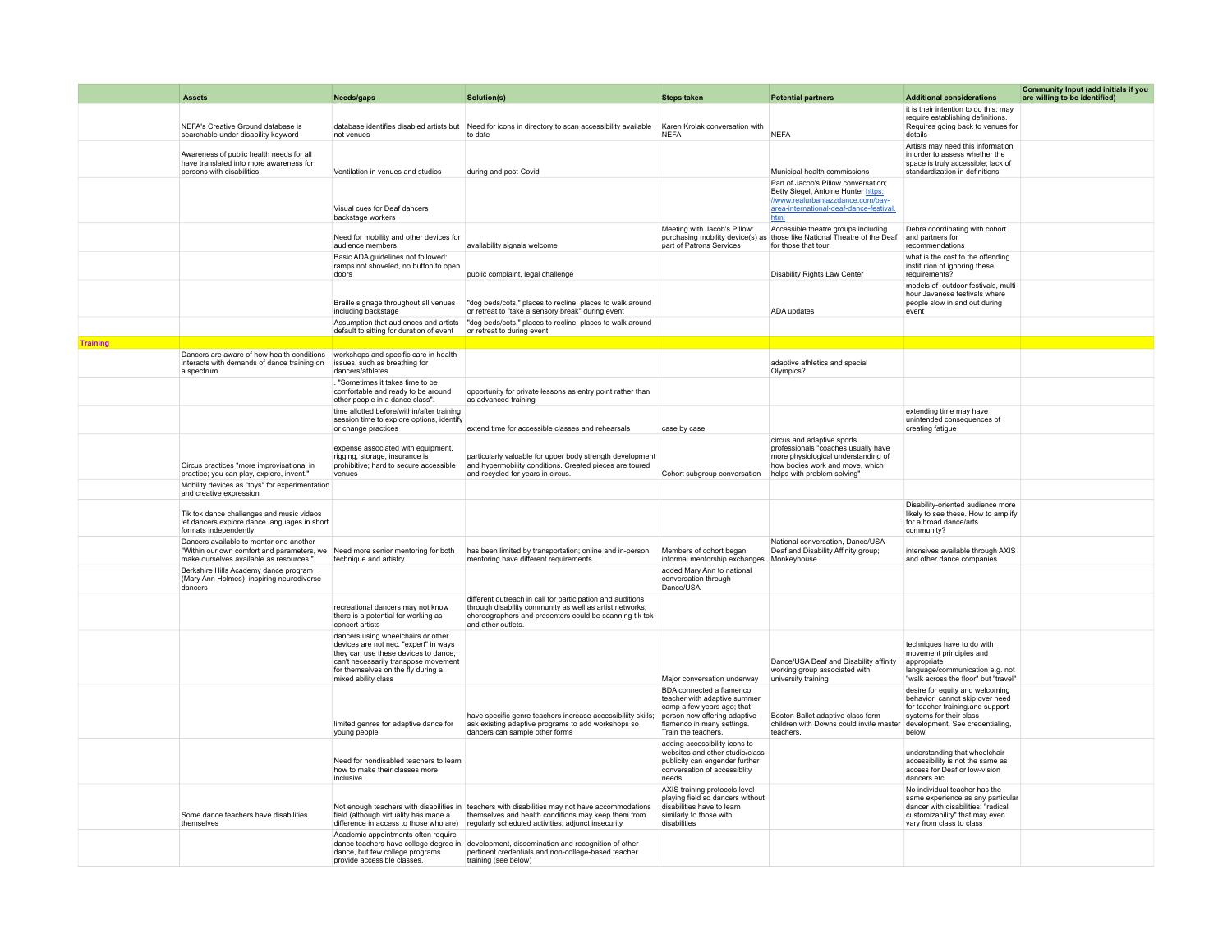|                 | <b>Assets</b>                                                                                                                                                        | Needs/gaps                                                                                                                                                                                                               | Solution(s)                                                                                                                                                                                                  | <b>Steps taken</b>                                                                                                                                                          | <b>Potential partners</b>                                                                                                                                                  | <b>Additional considerations</b>                                                                                                                                       | Community Input (add initials if you<br>are willing to be identified) |
|-----------------|----------------------------------------------------------------------------------------------------------------------------------------------------------------------|--------------------------------------------------------------------------------------------------------------------------------------------------------------------------------------------------------------------------|--------------------------------------------------------------------------------------------------------------------------------------------------------------------------------------------------------------|-----------------------------------------------------------------------------------------------------------------------------------------------------------------------------|----------------------------------------------------------------------------------------------------------------------------------------------------------------------------|------------------------------------------------------------------------------------------------------------------------------------------------------------------------|-----------------------------------------------------------------------|
|                 | NEFA's Creative Ground database is<br>searchable under disability keyword                                                                                            | not venues                                                                                                                                                                                                               | database identifies disabled artists but Need for icons in directory to scan accessibility available<br>to date                                                                                              | Karen Krolak conversation with<br><b>NEFA</b>                                                                                                                               | <b>NEFA</b>                                                                                                                                                                | it is their intention to do this: may<br>require establishing definitions.<br>Requires going back to venues for<br>details                                             |                                                                       |
|                 | Awareness of public health needs for all<br>have translated into more awareness for<br>persons with disabilities                                                     | Ventilation in venues and studios                                                                                                                                                                                        | during and post-Covid                                                                                                                                                                                        |                                                                                                                                                                             | Municipal health commissions                                                                                                                                               | Artists may need this information<br>in order to assess whether the<br>space is truly accessible; lack of<br>standardization in definitions                            |                                                                       |
|                 |                                                                                                                                                                      | Visual cues for Deaf dancers<br>backstage workers                                                                                                                                                                        |                                                                                                                                                                                                              |                                                                                                                                                                             | Part of Jacob's Pillow conversation;<br>Betty Siegel, Antoine Hunter https:<br>//www.realurbanjazzdance.com/bay-<br>area-international-deaf-dance-festival.<br>html        |                                                                                                                                                                        |                                                                       |
|                 |                                                                                                                                                                      | Need for mobility and other devices for<br>audience members                                                                                                                                                              | availability signals welcome                                                                                                                                                                                 | Meeting with Jacob's Pillow:<br>purchasing mobility device(s) as<br>part of Patrons Services                                                                                | Accessible theatre groups including<br>those like National Theatre of the Deaf<br>for those that tour                                                                      | Debra coordinating with cohort<br>and partners for<br>recommendations                                                                                                  |                                                                       |
|                 |                                                                                                                                                                      | Basic ADA quidelines not followed:<br>ramps not shoveled, no button to open<br>doors                                                                                                                                     | public complaint, legal challenge                                                                                                                                                                            |                                                                                                                                                                             | Disability Rights Law Center                                                                                                                                               | what is the cost to the offending<br>institution of ignoring these<br>requirements?                                                                                    |                                                                       |
|                 |                                                                                                                                                                      | Braille signage throughout all venues<br>including backstage                                                                                                                                                             | "dog beds/cots," places to recline, places to walk around<br>or retreat to "take a sensory break" during event                                                                                               |                                                                                                                                                                             | ADA updates                                                                                                                                                                | models of outdoor festivals, multi-<br>hour Javanese festivals where<br>people slow in and out during<br>event                                                         |                                                                       |
|                 |                                                                                                                                                                      | Assumption that audiences and artists<br>default to sitting for duration of event                                                                                                                                        | "dog beds/cots," places to recline, places to walk around<br>or retreat to during event                                                                                                                      |                                                                                                                                                                             |                                                                                                                                                                            |                                                                                                                                                                        |                                                                       |
| <b>Training</b> |                                                                                                                                                                      |                                                                                                                                                                                                                          |                                                                                                                                                                                                              |                                                                                                                                                                             |                                                                                                                                                                            |                                                                                                                                                                        |                                                                       |
|                 | Dancers are aware of how health conditions<br>interacts with demands of dance training on<br>a spectrum                                                              | workshops and specific care in health<br>issues, such as breathing for<br>dancers/athletes                                                                                                                               |                                                                                                                                                                                                              |                                                                                                                                                                             | adaptive athletics and special<br>Olympics?                                                                                                                                |                                                                                                                                                                        |                                                                       |
|                 |                                                                                                                                                                      | "Sometimes it takes time to be<br>comfortable and ready to be around<br>other people in a dance class".                                                                                                                  | opportunity for private lessons as entry point rather than<br>as advanced training                                                                                                                           |                                                                                                                                                                             |                                                                                                                                                                            |                                                                                                                                                                        |                                                                       |
|                 |                                                                                                                                                                      | time allotted before/within/after training<br>session time to explore options, identify<br>or change practices                                                                                                           | extend time for accessible classes and rehearsals                                                                                                                                                            | case by case                                                                                                                                                                |                                                                                                                                                                            | extending time may have<br>unintended consequences of<br>creating fatigue                                                                                              |                                                                       |
|                 | Circus practices "more improvisational in<br>practice; you can play, explore, invent."                                                                               | expense associated with equipment,<br>rigging, storage, insurance is<br>prohibitive; hard to secure accessible<br>venues                                                                                                 | particularly valuable for upper body strength development<br>and hypermobility conditions. Created pieces are toured<br>and recycled for years in circus.                                                    | Cohort subgroup conversation                                                                                                                                                | circus and adaptive sports<br>professionals "coaches usually have<br>more physiological understanding of<br>how bodies work and move, which<br>helps with problem solving' |                                                                                                                                                                        |                                                                       |
|                 | Mobility devices as "toys" for experimentation<br>and creative expression                                                                                            |                                                                                                                                                                                                                          |                                                                                                                                                                                                              |                                                                                                                                                                             |                                                                                                                                                                            |                                                                                                                                                                        |                                                                       |
|                 | Tik tok dance challenges and music videos<br>let dancers explore dance languages in short<br>formats independently                                                   |                                                                                                                                                                                                                          |                                                                                                                                                                                                              |                                                                                                                                                                             |                                                                                                                                                                            | Disability-oriented audience more<br>likely to see these. How to amplify<br>for a broad dance/arts<br>community?                                                       |                                                                       |
|                 | Dancers available to mentor one another<br>"Within our own comfort and parameters, we Need more senior mentoring for both<br>make ourselves available as resources." | technique and artistry                                                                                                                                                                                                   | has been limited by transportation; online and in-person<br>mentoring have different requirements                                                                                                            | Members of cohort began<br>informal mentorship exchanges Monkeyhouse                                                                                                        | National conversation, Dance/USA<br>Deaf and Disability Affinity group;                                                                                                    | intensives available through AXIS<br>and other dance companies                                                                                                         |                                                                       |
|                 | Berkshire Hills Academy dance program<br>(Mary Ann Holmes) inspiring neurodiverse<br>dancers                                                                         |                                                                                                                                                                                                                          |                                                                                                                                                                                                              | added Mary Ann to national<br>conversation through<br>Dance/USA                                                                                                             |                                                                                                                                                                            |                                                                                                                                                                        |                                                                       |
|                 |                                                                                                                                                                      | recreational dancers may not know<br>there is a potential for working as<br>concert artists                                                                                                                              | different outreach in call for participation and auditions<br>through disability community as well as artist networks;<br>choreographers and presenters could be scanning tik tok<br>and other outlets       |                                                                                                                                                                             |                                                                                                                                                                            |                                                                                                                                                                        |                                                                       |
|                 |                                                                                                                                                                      | dancers using wheelchairs or other<br>devices are not nec. "expert" in ways<br>they can use these devices to dance;<br>can't necessarily transpose movement<br>for themselves on the fly during a<br>mixed ability class |                                                                                                                                                                                                              | Major conversation underway                                                                                                                                                 | Dance/USA Deaf and Disability affinity<br>working group associated with<br>university training                                                                             | techniques have to do with<br>movement principles and<br>appropriate<br>language/communication e.g. not<br>"walk across the floor" but "travel"                        |                                                                       |
|                 |                                                                                                                                                                      | limited genres for adaptive dance for<br>young people                                                                                                                                                                    | have specific genre teachers increase accessibiliity skills;<br>ask existing adaptive programs to add workshops so<br>dancers can sample other forms                                                         | BDA connected a flamenco<br>teacher with adaptive summer<br>camp a few years ago; that<br>person now offering adaptive<br>flamenco in many settings.<br>Train the teachers. | Boston Ballet adaptive class form<br>children with Downs could invite master development. See credentialing,<br>teachers.                                                  | desire for equity and welcoming<br>behavior cannot skip over need<br>for teacher training and support<br>systems for their class<br>below.                             |                                                                       |
|                 |                                                                                                                                                                      | Need for nondisabled teachers to learn<br>how to make their classes more<br>inclusive                                                                                                                                    |                                                                                                                                                                                                              | adding accessibility icons to<br>websites and other studio/class<br>publicity can engender further<br>conversation of accessiblity<br>needs                                 |                                                                                                                                                                            | understanding that wheelchair<br>accessibility is not the same as<br>access for Deaf or low-vision<br>dancers etc.                                                     |                                                                       |
|                 | Some dance teachers have disabilities<br>themselves                                                                                                                  | field (although virtuality has made a<br>difference in access to those who are)                                                                                                                                          | Not enough teachers with disabilities in teachers with disabilities may not have accommodations<br>themselves and health conditions may keep them from<br>regularly scheduled activities; adjunct insecurity | AXIS training protocols level<br>playing field so dancers without<br>disabilities have to learn<br>similarly to those with<br>disabilities                                  |                                                                                                                                                                            | No individual teacher has the<br>same experience as any particular<br>dancer with disabilities; "radical<br>customizability" that may even<br>vary from class to class |                                                                       |
|                 |                                                                                                                                                                      | Academic appointments often require<br>dance teachers have college degree in<br>dance, but few college programs<br>provide accessible classes.                                                                           | development, dissemination and recognition of other<br>pertinent credentials and non-college-based teacher<br>training (see below)                                                                           |                                                                                                                                                                             |                                                                                                                                                                            |                                                                                                                                                                        |                                                                       |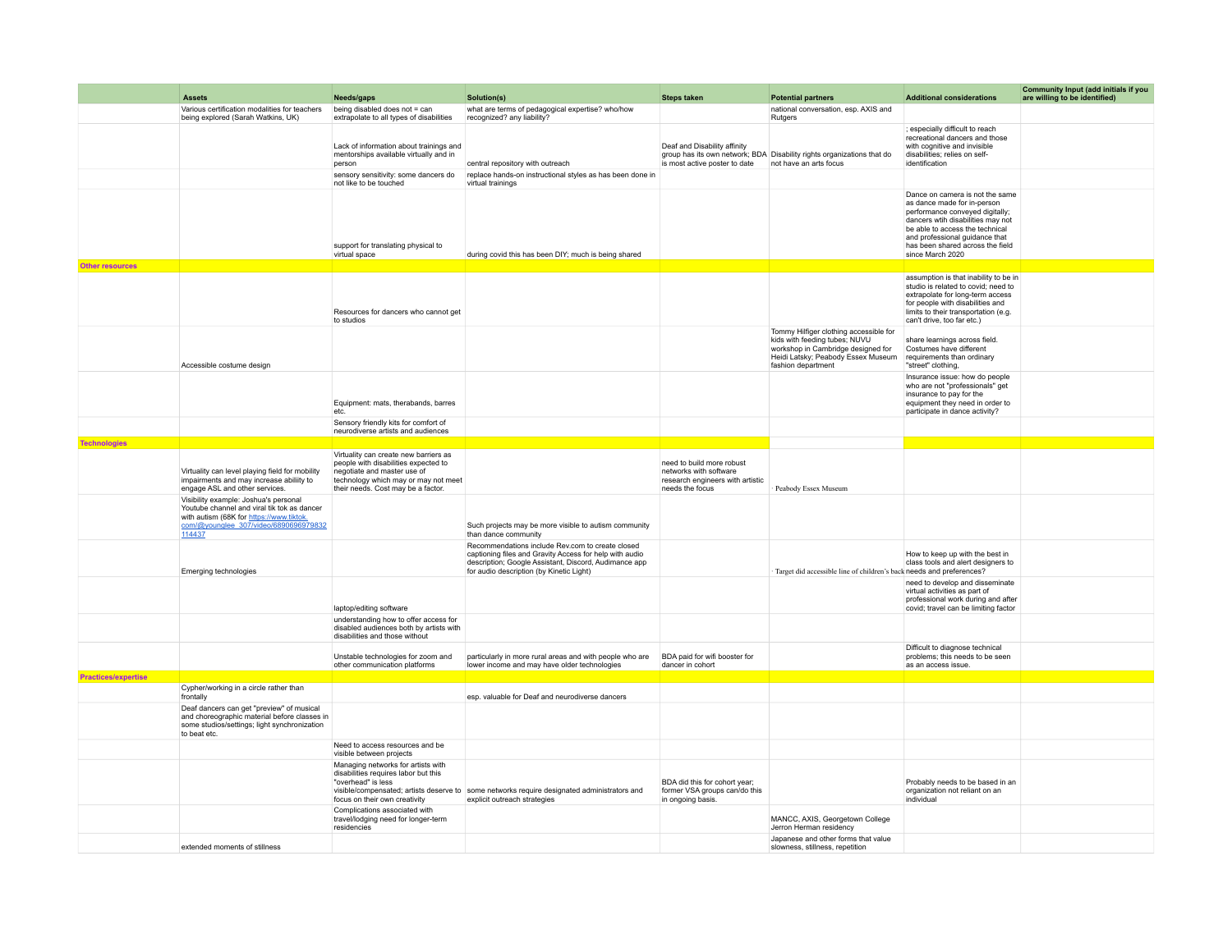|                            | <b>Assets</b>                                                                                                                                                                       | Needs/gaps                                                                                                                                                                                 | Solution(s)                                                                                                                                                                                                      | <b>Steps taken</b>                                                                                         | <b>Potential partners</b>                                                                                                                                                 | <b>Additional considerations</b>                                                                                                                                                                                                                                    | <b>Community Input (add initials if you</b><br>are willing to be identified) |
|----------------------------|-------------------------------------------------------------------------------------------------------------------------------------------------------------------------------------|--------------------------------------------------------------------------------------------------------------------------------------------------------------------------------------------|------------------------------------------------------------------------------------------------------------------------------------------------------------------------------------------------------------------|------------------------------------------------------------------------------------------------------------|---------------------------------------------------------------------------------------------------------------------------------------------------------------------------|---------------------------------------------------------------------------------------------------------------------------------------------------------------------------------------------------------------------------------------------------------------------|------------------------------------------------------------------------------|
|                            | Various certification modalities for teachers<br>being explored (Sarah Watkins, UK)                                                                                                 | being disabled does not = can<br>extrapolate to all types of disabilities                                                                                                                  | what are terms of pedagogical expertise? who/how<br>recognized? any liability?                                                                                                                                   |                                                                                                            | national conversation, esp. AXIS and<br>Rutgers                                                                                                                           |                                                                                                                                                                                                                                                                     |                                                                              |
|                            |                                                                                                                                                                                     | Lack of information about trainings and<br>mentorships available virtually and in<br>person<br>sensory sensitivity: some dancers do                                                        | central repository with outreach<br>replace hands-on instructional styles as has been done in                                                                                                                    | Deaf and Disability affinity<br>is most active poster to date                                              | group has its own network; BDA Disability rights organizations that do<br>not have an arts focus                                                                          | ; especially difficult to reach<br>recreational dancers and those<br>with cognitive and invisible<br>disabilities; relies on self-<br>identification                                                                                                                |                                                                              |
|                            |                                                                                                                                                                                     | not like to be touched                                                                                                                                                                     | virtual trainings                                                                                                                                                                                                |                                                                                                            |                                                                                                                                                                           |                                                                                                                                                                                                                                                                     |                                                                              |
|                            |                                                                                                                                                                                     | support for translating physical to<br>virtual space                                                                                                                                       | during covid this has been DIY; much is being shared                                                                                                                                                             |                                                                                                            |                                                                                                                                                                           | Dance on camera is not the same<br>as dance made for in-person<br>performance conveyed digitally;<br>dancers wtih disabilities may not<br>be able to access the technical<br>and professional guidance that<br>has been shared across the field<br>since March 2020 |                                                                              |
| <b>Other resources</b>     |                                                                                                                                                                                     |                                                                                                                                                                                            |                                                                                                                                                                                                                  |                                                                                                            |                                                                                                                                                                           | assumption is that inability to be in                                                                                                                                                                                                                               |                                                                              |
|                            |                                                                                                                                                                                     | Resources for dancers who cannot get<br>to studios                                                                                                                                         |                                                                                                                                                                                                                  |                                                                                                            |                                                                                                                                                                           | studio is related to covid; need to<br>extrapolate for long-term access<br>for people with disabilities and<br>limits to their transportation (e.g.<br>can't drive, too far etc.)                                                                                   |                                                                              |
|                            | Accessible costume design                                                                                                                                                           |                                                                                                                                                                                            |                                                                                                                                                                                                                  |                                                                                                            | Tommy Hilfiger clothing accessible for<br>kids with feeding tubes; NUVU<br>workshop in Cambridge designed for<br>Heidi Latsky; Peabody Essex Museum<br>fashion department | share learnings across field.<br>Costumes have different<br>requirements than ordinary<br>"street" clothing,                                                                                                                                                        |                                                                              |
|                            |                                                                                                                                                                                     | Equipment: mats, therabands, barres<br>etc.                                                                                                                                                |                                                                                                                                                                                                                  |                                                                                                            |                                                                                                                                                                           | Insurance issue: how do people<br>who are not "professionals" get<br>insurance to pay for the<br>equipment they need in order to<br>participate in dance activity?                                                                                                  |                                                                              |
|                            |                                                                                                                                                                                     | Sensory friendly kits for comfort of<br>neurodiverse artists and audiences                                                                                                                 |                                                                                                                                                                                                                  |                                                                                                            |                                                                                                                                                                           |                                                                                                                                                                                                                                                                     |                                                                              |
| <b>Technologies</b>        |                                                                                                                                                                                     |                                                                                                                                                                                            |                                                                                                                                                                                                                  |                                                                                                            |                                                                                                                                                                           |                                                                                                                                                                                                                                                                     |                                                                              |
|                            | Virtuality can level playing field for mobility<br>impairments and may increase abiliity to<br>engage ASL and other services.                                                       | Virtuality can create new barriers as<br>people with disabilities expected to<br>negotiate and master use of<br>technology which may or may not meet<br>their needs. Cost may be a factor. |                                                                                                                                                                                                                  | need to build more robust<br>networks with software<br>research engineers with artistic<br>needs the focus | Peabody Essex Museum                                                                                                                                                      |                                                                                                                                                                                                                                                                     |                                                                              |
|                            | Visibility example: Joshua's personal<br>Youtube channel and viral tik tok as dancer<br>with autism (68K for https://www.tiktok.<br>com/@younglee_307/video/6890696979832<br>114437 |                                                                                                                                                                                            | Such projects may be more visible to autism community<br>than dance community                                                                                                                                    |                                                                                                            |                                                                                                                                                                           |                                                                                                                                                                                                                                                                     |                                                                              |
|                            | Emerging technologies                                                                                                                                                               |                                                                                                                                                                                            | Recommendations include Rev.com to create closed<br>captioning files and Gravity Access for help with audio<br>description; Google Assistant, Discord, Audimance app<br>for audio description (by Kinetic Light) |                                                                                                            | Target did accessible line of children's back needs and preferences?                                                                                                      | How to keep up with the best in<br>class tools and alert designers to                                                                                                                                                                                               |                                                                              |
|                            |                                                                                                                                                                                     | laptop/editing software<br>understanding how to offer access for                                                                                                                           |                                                                                                                                                                                                                  |                                                                                                            |                                                                                                                                                                           | need to develop and disseminate<br>virtual activities as part of<br>professional work during and after<br>covid; travel can be limiting factor                                                                                                                      |                                                                              |
|                            |                                                                                                                                                                                     | disabled audiences both by artists with<br>disabilities and those without                                                                                                                  |                                                                                                                                                                                                                  |                                                                                                            |                                                                                                                                                                           |                                                                                                                                                                                                                                                                     |                                                                              |
|                            |                                                                                                                                                                                     | Unstable technologies for zoom and<br>other communication platforms                                                                                                                        | particularly in more rural areas and with people who are<br>lower income and may have older technologies                                                                                                         | BDA paid for wifi booster for<br>dancer in cohort                                                          |                                                                                                                                                                           | Difficult to diagnose technical<br>problems; this needs to be seen<br>as an access issue.                                                                                                                                                                           |                                                                              |
| <b>Practices/expertise</b> | Cypher/working in a circle rather than                                                                                                                                              |                                                                                                                                                                                            |                                                                                                                                                                                                                  |                                                                                                            |                                                                                                                                                                           |                                                                                                                                                                                                                                                                     |                                                                              |
|                            | frontally                                                                                                                                                                           |                                                                                                                                                                                            | esp. valuable for Deaf and neurodiverse dancers                                                                                                                                                                  |                                                                                                            |                                                                                                                                                                           |                                                                                                                                                                                                                                                                     |                                                                              |
|                            | Deaf dancers can get "preview" of musical<br>and choreographic material before classes in<br>some studios/settings; light synchronization<br>to beat etc.                           |                                                                                                                                                                                            |                                                                                                                                                                                                                  |                                                                                                            |                                                                                                                                                                           |                                                                                                                                                                                                                                                                     |                                                                              |
|                            |                                                                                                                                                                                     | Need to access resources and be<br>visible between projects                                                                                                                                |                                                                                                                                                                                                                  |                                                                                                            |                                                                                                                                                                           |                                                                                                                                                                                                                                                                     |                                                                              |
|                            |                                                                                                                                                                                     | Managing networks for artists with<br>disabilities requires labor but this<br>"overhead" is less<br>focus on their own creativity                                                          | visible/compensated; artists deserve to some networks require designated administrators and<br>explicit outreach strategies                                                                                      | BDA did this for cohort year;<br>former VSA groups can/do this<br>in ongoing basis.                        |                                                                                                                                                                           | Probably needs to be based in an<br>organization not reliant on an<br>individual                                                                                                                                                                                    |                                                                              |
|                            |                                                                                                                                                                                     | Complications associated with<br>travel/lodging need for longer-term<br>residencies                                                                                                        |                                                                                                                                                                                                                  |                                                                                                            | MANCC, AXIS, Georgetown College<br>Jerron Herman residency                                                                                                                |                                                                                                                                                                                                                                                                     |                                                                              |
|                            | extended moments of stillness                                                                                                                                                       |                                                                                                                                                                                            |                                                                                                                                                                                                                  |                                                                                                            | Japanese and other forms that value<br>slowness, stillness, repetition                                                                                                    |                                                                                                                                                                                                                                                                     |                                                                              |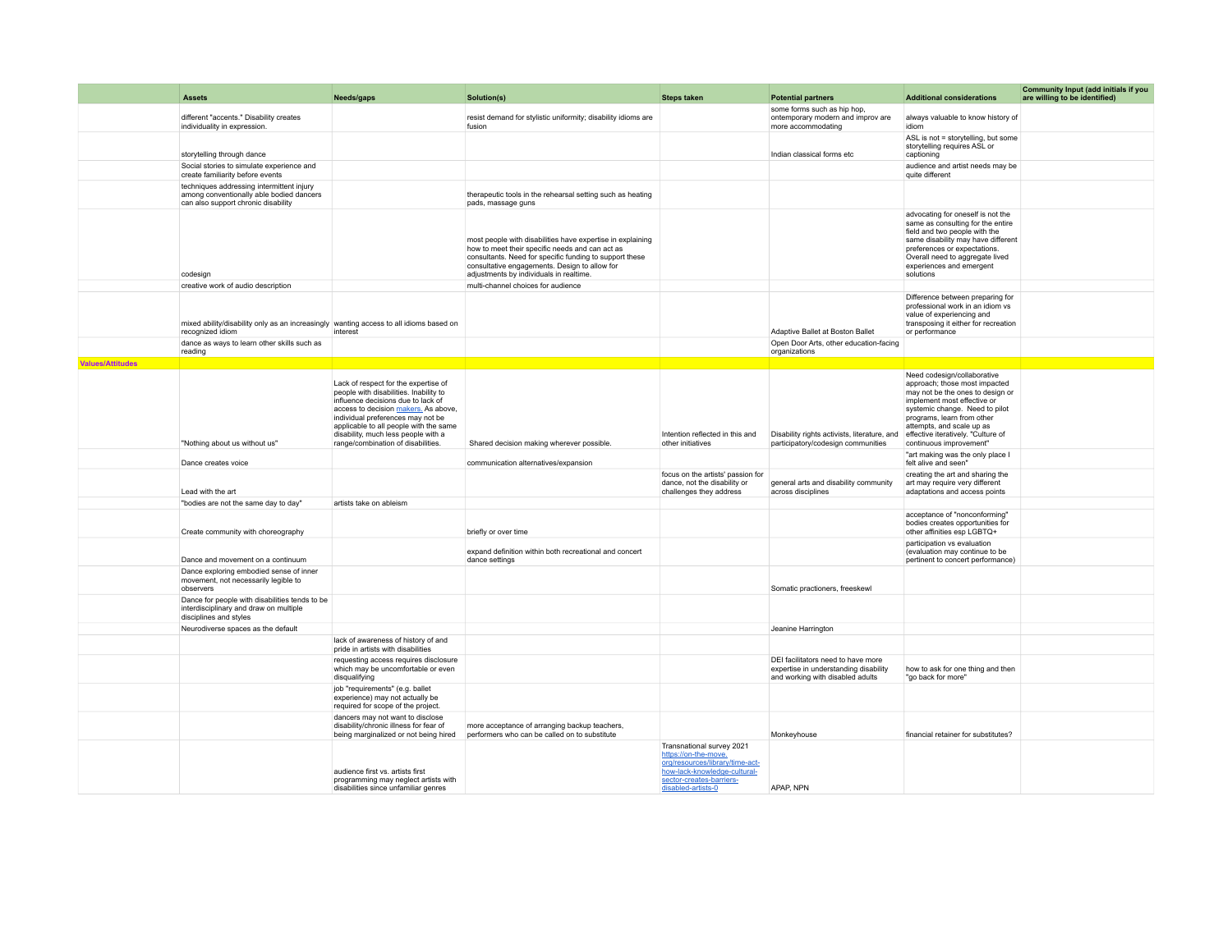|                         | <b>Assets</b>                                                                                                                | Needs/gaps                                                                                                                                                                                                                                                                                                               | Solution(s)                                                                                                                                                                                                                                                          | <b>Steps taken</b>                                                                                                                                                     | <b>Potential partners</b>                                                                                       | <b>Additional considerations</b>                                                                                                                                                                                                                                                              | Community Input (add initials if you<br>are willing to be identified) |
|-------------------------|------------------------------------------------------------------------------------------------------------------------------|--------------------------------------------------------------------------------------------------------------------------------------------------------------------------------------------------------------------------------------------------------------------------------------------------------------------------|----------------------------------------------------------------------------------------------------------------------------------------------------------------------------------------------------------------------------------------------------------------------|------------------------------------------------------------------------------------------------------------------------------------------------------------------------|-----------------------------------------------------------------------------------------------------------------|-----------------------------------------------------------------------------------------------------------------------------------------------------------------------------------------------------------------------------------------------------------------------------------------------|-----------------------------------------------------------------------|
|                         | different "accents." Disability creates<br>individuality in expression.                                                      |                                                                                                                                                                                                                                                                                                                          | resist demand for stylistic uniformity; disability idioms are<br>fusion                                                                                                                                                                                              |                                                                                                                                                                        | some forms such as hip hop,<br>ontemporary modern and improv are<br>more accommodating                          | always valuable to know history of<br>idiom                                                                                                                                                                                                                                                   |                                                                       |
|                         | storytelling through dance                                                                                                   |                                                                                                                                                                                                                                                                                                                          |                                                                                                                                                                                                                                                                      |                                                                                                                                                                        | Indian classical forms etc                                                                                      | ASL is not = storytelling, but some<br>storytelling requires ASL or<br>captioning                                                                                                                                                                                                             |                                                                       |
|                         | Social stories to simulate experience and<br>create familiarity before events                                                |                                                                                                                                                                                                                                                                                                                          |                                                                                                                                                                                                                                                                      |                                                                                                                                                                        |                                                                                                                 | audience and artist needs may be<br>quite different                                                                                                                                                                                                                                           |                                                                       |
|                         | techniques addressing intermittent injury<br>among conventionally able bodied dancers<br>can also support chronic disability |                                                                                                                                                                                                                                                                                                                          | therapeutic tools in the rehearsal setting such as heating<br>pads, massage guns                                                                                                                                                                                     |                                                                                                                                                                        |                                                                                                                 |                                                                                                                                                                                                                                                                                               |                                                                       |
|                         | codesign                                                                                                                     |                                                                                                                                                                                                                                                                                                                          | most people with disabilities have expertise in explaining<br>how to meet their specific needs and can act as<br>consultants. Need for specific funding to support these<br>consultative engagements. Design to allow for<br>adjustments by individuals in realtime. |                                                                                                                                                                        |                                                                                                                 | advocating for oneself is not the<br>same as consulting for the entire<br>field and two people with the<br>same disability may have different<br>preferences or expectations.<br>Overall need to aggregate lived<br>experiences and emergent<br>solutions                                     |                                                                       |
|                         | creative work of audio description                                                                                           |                                                                                                                                                                                                                                                                                                                          | multi-channel choices for audience                                                                                                                                                                                                                                   |                                                                                                                                                                        |                                                                                                                 |                                                                                                                                                                                                                                                                                               |                                                                       |
|                         | mixed ability/disability only as an increasingly wanting access to all idioms based on<br>recognized idiom                   | interest                                                                                                                                                                                                                                                                                                                 |                                                                                                                                                                                                                                                                      |                                                                                                                                                                        | Adaptive Ballet at Boston Ballet                                                                                | Difference between preparing for<br>professional work in an idiom vs<br>value of experiencing and<br>transposing it either for recreation<br>or performance                                                                                                                                   |                                                                       |
|                         | dance as ways to learn other skills such as<br>reading                                                                       |                                                                                                                                                                                                                                                                                                                          |                                                                                                                                                                                                                                                                      |                                                                                                                                                                        | Open Door Arts, other education-facing<br>organizations                                                         |                                                                                                                                                                                                                                                                                               |                                                                       |
| <b>Values/Attitudes</b> |                                                                                                                              |                                                                                                                                                                                                                                                                                                                          |                                                                                                                                                                                                                                                                      |                                                                                                                                                                        |                                                                                                                 |                                                                                                                                                                                                                                                                                               |                                                                       |
|                         | "Nothing about us without us"                                                                                                | Lack of respect for the expertise of<br>people with disabilities. Inability to<br>influence decisions due to lack of<br>access to decision makers. As above,<br>individual preferences may not be<br>applicable to all people with the same<br>disability, much less people with a<br>range/combination of disabilities. | Shared decision making wherever possible.                                                                                                                                                                                                                            | Intention reflected in this and<br>other initiatives                                                                                                                   | Disability rights activists, literature, and<br>participatory/codesign communities                              | Need codesign/collaborative<br>approach; those most impacted<br>may not be the ones to design or<br>implement most effective or<br>systemic change. Need to pilot<br>programs, learn from other<br>attempts, and scale up as<br>effective iteratively. "Culture of<br>continuous improvement" |                                                                       |
|                         | Dance creates voice                                                                                                          |                                                                                                                                                                                                                                                                                                                          | communication alternatives/expansion                                                                                                                                                                                                                                 |                                                                                                                                                                        |                                                                                                                 | "art making was the only place I<br>felt alive and seen"                                                                                                                                                                                                                                      |                                                                       |
|                         | Lead with the art                                                                                                            |                                                                                                                                                                                                                                                                                                                          |                                                                                                                                                                                                                                                                      | focus on the artists' passion for<br>dance, not the disability or<br>challenges they address                                                                           | general arts and disability community<br>across disciplines                                                     | creating the art and sharing the<br>art may require very different<br>adaptations and access points                                                                                                                                                                                           |                                                                       |
|                         | "bodies are not the same day to day"                                                                                         | artists take on ableism                                                                                                                                                                                                                                                                                                  |                                                                                                                                                                                                                                                                      |                                                                                                                                                                        |                                                                                                                 |                                                                                                                                                                                                                                                                                               |                                                                       |
|                         | Create community with choreography                                                                                           |                                                                                                                                                                                                                                                                                                                          | briefly or over time                                                                                                                                                                                                                                                 |                                                                                                                                                                        |                                                                                                                 | acceptance of "nonconforming"<br>bodies creates opportunities for<br>other affinities esp LGBTQ+                                                                                                                                                                                              |                                                                       |
|                         | Dance and movement on a continuum                                                                                            |                                                                                                                                                                                                                                                                                                                          | expand definition within both recreational and concert<br>dance settings                                                                                                                                                                                             |                                                                                                                                                                        |                                                                                                                 | participation vs evaluation<br>(evaluation may continue to be<br>pertinent to concert performance)                                                                                                                                                                                            |                                                                       |
|                         | Dance exploring embodied sense of inner<br>movement, not necessarily legible to<br>observers                                 |                                                                                                                                                                                                                                                                                                                          |                                                                                                                                                                                                                                                                      |                                                                                                                                                                        | Somatic practioners, freeskewl                                                                                  |                                                                                                                                                                                                                                                                                               |                                                                       |
|                         | Dance for people with disabilities tends to be<br>interdisciplinary and draw on multiple<br>disciplines and styles           |                                                                                                                                                                                                                                                                                                                          |                                                                                                                                                                                                                                                                      |                                                                                                                                                                        |                                                                                                                 |                                                                                                                                                                                                                                                                                               |                                                                       |
|                         | Neurodiverse spaces as the default                                                                                           |                                                                                                                                                                                                                                                                                                                          |                                                                                                                                                                                                                                                                      |                                                                                                                                                                        | Jeanine Harrington                                                                                              |                                                                                                                                                                                                                                                                                               |                                                                       |
|                         |                                                                                                                              | lack of awareness of history of and<br>pride in artists with disabilities                                                                                                                                                                                                                                                |                                                                                                                                                                                                                                                                      |                                                                                                                                                                        |                                                                                                                 |                                                                                                                                                                                                                                                                                               |                                                                       |
|                         |                                                                                                                              | requesting access requires disclosure<br>which may be uncomfortable or even<br>disqualifying                                                                                                                                                                                                                             |                                                                                                                                                                                                                                                                      |                                                                                                                                                                        | DEI facilitators need to have more<br>expertise in understanding disability<br>and working with disabled adults | how to ask for one thing and then<br>"go back for more"                                                                                                                                                                                                                                       |                                                                       |
|                         |                                                                                                                              | job "requirements" (e.g. ballet<br>experience) may not actually be<br>required for scope of the project.                                                                                                                                                                                                                 |                                                                                                                                                                                                                                                                      |                                                                                                                                                                        |                                                                                                                 |                                                                                                                                                                                                                                                                                               |                                                                       |
|                         |                                                                                                                              | dancers may not want to disclose<br>disability/chronic illness for fear of<br>being marginalized or not being hired                                                                                                                                                                                                      | more acceptance of arranging backup teachers,<br>performers who can be called on to substitute                                                                                                                                                                       |                                                                                                                                                                        | Monkeyhouse                                                                                                     | financial retainer for substitutes?                                                                                                                                                                                                                                                           |                                                                       |
|                         |                                                                                                                              | audience first vs. artists first<br>programming may neglect artists with<br>disabilities since unfamiliar genres                                                                                                                                                                                                         |                                                                                                                                                                                                                                                                      | Transnational survey 2021<br>https://on-the-move.<br>org/resources/library/time-act-<br>how-lack-knowledge-cultural-<br>sector-creates-barriers-<br>disabled-artists-0 | APAP, NPN                                                                                                       |                                                                                                                                                                                                                                                                                               |                                                                       |